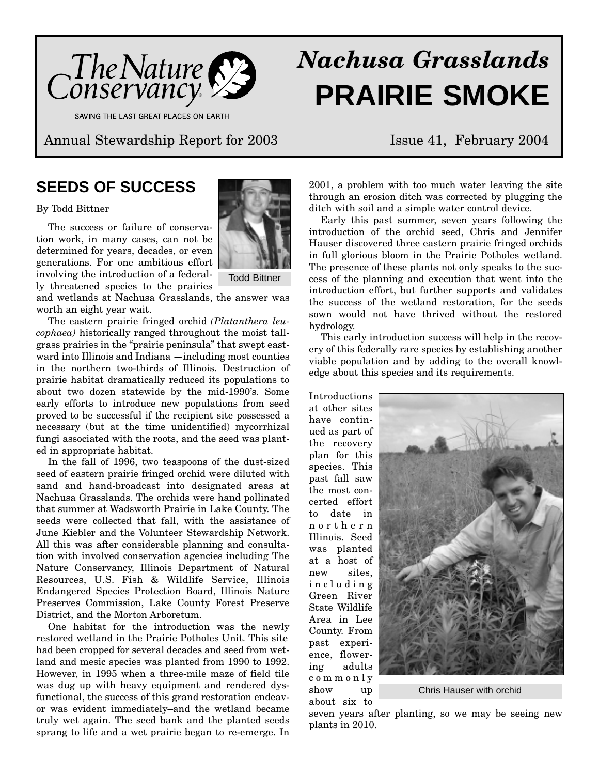

SAVING THE LAST GREAT PLACES ON EARTH

# *Nachusa Grasslands* **PRAIRIE SMOKE**

Annual Stewardship Report for 2003 Issue 41, February 2004

# **SEEDS OF SUCCESS**

# By Todd Bittner

The success or failure of conservation work, in many cases, can not be determined for years, decades, or even generations. For one ambitious effort involving the introduction of a federally threatened species to the prairies



Todd Bittner

and wetlands at Nachusa Grasslands, the answer was worth an eight year wait.

The eastern prairie fringed orchid *(Platanthera leucophaea)* historically ranged throughout the moist tallgrass prairies in the "prairie peninsula" that swept eastward into Illinois and Indiana —including most counties in the northern two-thirds of Illinois. Destruction of prairie habitat dramatically reduced its populations to about two dozen statewide by the mid-1990's. Some early efforts to introduce new populations from seed proved to be successful if the recipient site possessed a necessary (but at the time unidentified) mycorrhizal fungi associated with the roots, and the seed was planted in appropriate habitat.

In the fall of 1996, two teaspoons of the dust-sized seed of eastern prairie fringed orchid were diluted with sand and hand-broadcast into designated areas at Nachusa Grasslands. The orchids were hand pollinated that summer at Wadsworth Prairie in Lake County. The seeds were collected that fall, with the assistance of June Kiebler and the Volunteer Stewardship Network. All this was after considerable planning and consultation with involved conservation agencies including The Nature Conservancy, Illinois Department of Natural Resources, U.S. Fish & Wildlife Service, Illinois Endangered Species Protection Board, Illinois Nature Preserves Commission, Lake County Forest Preserve District, and the Morton Arboretum.

One habitat for the introduction was the newly restored wetland in the Prairie Potholes Unit. This site had been cropped for several decades and seed from wetland and mesic species was planted from 1990 to 1992. However, in 1995 when a three-mile maze of field tile was dug up with heavy equipment and rendered dysfunctional, the success of this grand restoration endeavor was evident immediately–and the wetland became truly wet again. The seed bank and the planted seeds sprang to life and a wet prairie began to re-emerge. In 2001, a problem with too much water leaving the site through an erosion ditch was corrected by plugging the ditch with soil and a simple water control device.

Early this past summer, seven years following the introduction of the orchid seed, Chris and Jennifer Hauser discovered three eastern prairie fringed orchids in full glorious bloom in the Prairie Potholes wetland. The presence of these plants not only speaks to the success of the planning and execution that went into the introduction effort, but further supports and validates the success of the wetland restoration, for the seeds sown would not have thrived without the restored hydrology.

This early introduction success will help in the recovery of this federally rare species by establishing another viable population and by adding to the overall knowledge about this species and its requirements.

Introductions at other sites have continued as part of the recovery plan for this species. This past fall saw the most concerted effort to date in northern Illinois. Seed was planted at a host of new sites, including Green River State Wildlife Area in Lee County. From past experience, flowering adults commonly show up about six to



Chris Hauser with orchid

seven years after planting, so we may be seeing new plants in 2010.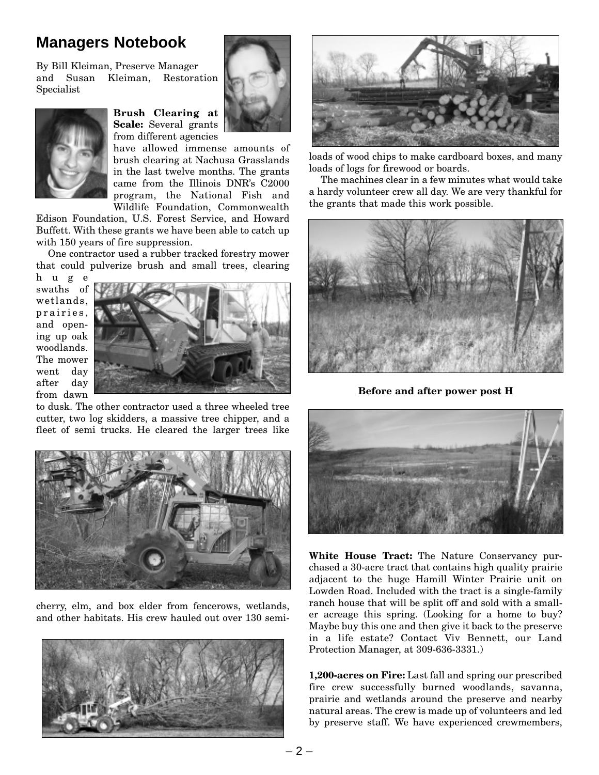# **Managers Notebook**

By Bill Kleiman, Preserve Manager and Susan Kleiman, Restoration Specialist



**Brush Clearing at Scale:** Several grants from different agencies



have allowed immense amounts of brush clearing at Nachusa Grasslands in the last twelve months. The grants came from the Illinois DNR's C2000 program, the National Fish and Wildlife Foundation, Commonwealth

Edison Foundation, U.S. Forest Service, and Howard Buffett. With these grants we have been able to catch up with 150 years of fire suppression.

One contractor used a rubber tracked forestry mower that could pulverize brush and small trees, clearing

huge swaths of wetlands, prairies, and opening up oak woodlands. The mower went day after day from dawn



to dusk. The other contractor used a three wheeled tree cutter, two log skidders, a massive tree chipper, and a fleet of semi trucks. He cleared the larger trees like



cherry, elm, and box elder from fencerows, wetlands, and other habitats. His crew hauled out over 130 semi-





loads of wood chips to make cardboard boxes, and many loads of logs for firewood or boards.

The machines clear in a few minutes what would take a hardy volunteer crew all day. We are very thankful for the grants that made this work possible.



**Before and after power post H**



**White House Tract:** The Nature Conservancy purchased a 30-acre tract that contains high quality prairie adjacent to the huge Hamill Winter Prairie unit on Lowden Road. Included with the tract is a single-family ranch house that will be split off and sold with a smaller acreage this spring. (Looking for a home to buy? Maybe buy this one and then give it back to the preserve in a life estate? Contact Viv Bennett, our Land Protection Manager, at 309-636-3331.)

**1,200-acres on Fire:** Last fall and spring our prescribed fire crew successfully burned woodlands, savanna, prairie and wetlands around the preserve and nearby natural areas. The crew is made up of volunteers and led by preserve staff. We have experienced crewmembers,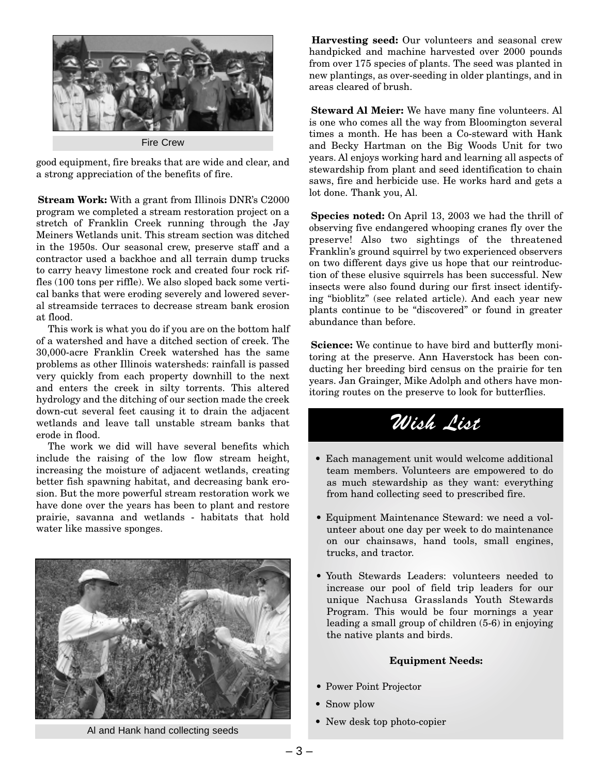

good equipment, fire breaks that are wide and clear, and a strong appreciation of the benefits of fire.

**Stream Work:** With a grant from Illinois DNR's C2000 program we completed a stream restoration project on a stretch of Franklin Creek running through the Jay Meiners Wetlands unit. This stream section was ditched in the 1950s. Our seasonal crew, preserve staff and a contractor used a backhoe and all terrain dump trucks to carry heavy limestone rock and created four rock riffles (100 tons per riffle). We also sloped back some vertical banks that were eroding severely and lowered several streamside terraces to decrease stream bank erosion at flood.

This work is what you do if you are on the bottom half of a watershed and have a ditched section of creek. The 30,000-acre Franklin Creek watershed has the same problems as other Illinois watersheds: rainfall is passed very quickly from each property downhill to the next and enters the creek in silty torrents. This altered hydrology and the ditching of our section made the creek down-cut several feet causing it to drain the adjacent wetlands and leave tall unstable stream banks that erode in flood.

The work we did will have several benefits which include the raising of the low flow stream height, increasing the moisture of adjacent wetlands, creating better fish spawning habitat, and decreasing bank erosion. But the more powerful stream restoration work we have done over the years has been to plant and restore prairie, savanna and wetlands - habitats that hold water like massive sponges.



Al and Hank hand collecting seeds

**Harvesting seed:** Our volunteers and seasonal crew handpicked and machine harvested over 2000 pounds from over 175 species of plants. The seed was planted in new plantings, as over-seeding in older plantings, and in areas cleared of brush.

**Steward Al Meier:** We have many fine volunteers. Al is one who comes all the way from Bloomington several times a month. He has been a Co-steward with Hank and Becky Hartman on the Big Woods Unit for two years. Al enjoys working hard and learning all aspects of stewardship from plant and seed identification to chain saws, fire and herbicide use. He works hard and gets a lot done. Thank you, Al.

**Species noted:** On April 13, 2003 we had the thrill of observing five endangered whooping cranes fly over the preserve! Also two sightings of the threatened Franklin's ground squirrel by two experienced observers on two different days give us hope that our reintroduction of these elusive squirrels has been successful. New insects were also found during our first insect identifying "bioblitz" (see related article). And each year new plants continue to be "discovered" or found in greater abundance than before.

**Science:** We continue to have bird and butterfly monitoring at the preserve. Ann Haverstock has been conducting her breeding bird census on the prairie for ten years. Jan Grainger, Mike Adolph and others have monitoring routes on the preserve to look for butterflies.



- Each management unit would welcome additional team members. Volunteers are empowered to do as much stewardship as they want: everything from hand collecting seed to prescribed fire.
- Equipment Maintenance Steward: we need a volunteer about one day per week to do maintenance on our chainsaws, hand tools, small engines, trucks, and tractor.
- Youth Stewards Leaders: volunteers needed to increase our pool of field trip leaders for our unique Nachusa Grasslands Youth Stewards Program. This would be four mornings a year leading a small group of children (5-6) in enjoying the native plants and birds.

# **Equipment Needs:**

- Power Point Projector
- Snow plow
- New desk top photo-copier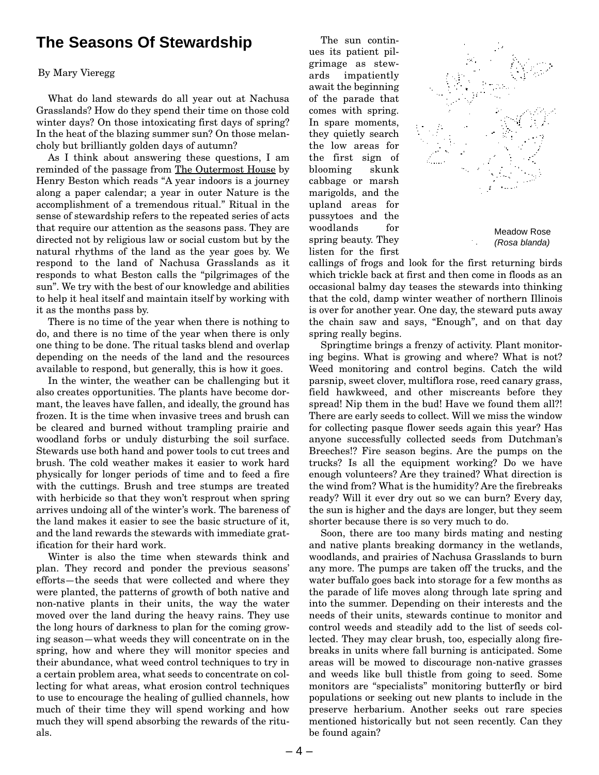# **The Seasons Of Stewardship**

# By Mary Vieregg

What do land stewards do all year out at Nachusa Grasslands? How do they spend their time on those cold winter days? On those intoxicating first days of spring? In the heat of the blazing summer sun? On those melancholy but brilliantly golden days of autumn?

As I think about answering these questions, I am reminded of the passage from The Outermost House by Henry Beston which reads "A year indoors is a journey along a paper calendar; a year in outer Nature is the accomplishment of a tremendous ritual." Ritual in the sense of stewardship refers to the repeated series of acts that require our attention as the seasons pass. They are directed not by religious law or social custom but by the natural rhythms of the land as the year goes by. We respond to the land of Nachusa Grasslands as it responds to what Beston calls the "pilgrimages of the sun". We try with the best of our knowledge and abilities to help it heal itself and maintain itself by working with it as the months pass by.

There is no time of the year when there is nothing to do, and there is no time of the year when there is only one thing to be done. The ritual tasks blend and overlap depending on the needs of the land and the resources available to respond, but generally, this is how it goes.

In the winter, the weather can be challenging but it also creates opportunities. The plants have become dormant, the leaves have fallen, and ideally, the ground has frozen. It is the time when invasive trees and brush can be cleared and burned without trampling prairie and woodland forbs or unduly disturbing the soil surface. Stewards use both hand and power tools to cut trees and brush. The cold weather makes it easier to work hard physically for longer periods of time and to feed a fire with the cuttings. Brush and tree stumps are treated with herbicide so that they won't resprout when spring arrives undoing all of the winter's work. The bareness of the land makes it easier to see the basic structure of it, and the land rewards the stewards with immediate gratification for their hard work.

Winter is also the time when stewards think and plan. They record and ponder the previous seasons' efforts—the seeds that were collected and where they were planted, the patterns of growth of both native and non-native plants in their units, the way the water moved over the land during the heavy rains. They use the long hours of darkness to plan for the coming growing season—what weeds they will concentrate on in the spring, how and where they will monitor species and their abundance, what weed control techniques to try in a certain problem area, what seeds to concentrate on collecting for what areas, what erosion control techniques to use to encourage the healing of gullied channels, how much of their time they will spend working and how much they will spend absorbing the rewards of the rituals.

The sun continues its patient pilgrimage as stewards impatiently await the beginning of the parade that comes with spring. In spare moments, they quietly search the low areas for the first sign of blooming skunk cabbage or marsh marigolds, and the upland areas for pussytoes and the woodlands for spring beauty. They listen for the first



callings of frogs and look for the first returning birds which trickle back at first and then come in floods as an occasional balmy day teases the stewards into thinking that the cold, damp winter weather of northern Illinois is over for another year. One day, the steward puts away the chain saw and says, "Enough", and on that day spring really begins.

Springtime brings a frenzy of activity. Plant monitoring begins. What is growing and where? What is not? Weed monitoring and control begins. Catch the wild parsnip, sweet clover, multiflora rose, reed canary grass, field hawkweed, and other miscreants before they spread! Nip them in the bud! Have we found them all?! There are early seeds to collect. Will we miss the window for collecting pasque flower seeds again this year? Has anyone successfully collected seeds from Dutchman's Breeches!? Fire season begins. Are the pumps on the trucks? Is all the equipment working? Do we have enough volunteers? Are they trained? What direction is the wind from? What is the humidity? Are the firebreaks ready? Will it ever dry out so we can burn? Every day, the sun is higher and the days are longer, but they seem shorter because there is so very much to do.

Soon, there are too many birds mating and nesting and native plants breaking dormancy in the wetlands, woodlands, and prairies of Nachusa Grasslands to burn any more. The pumps are taken off the trucks, and the water buffalo goes back into storage for a few months as the parade of life moves along through late spring and into the summer. Depending on their interests and the needs of their units, stewards continue to monitor and control weeds and steadily add to the list of seeds collected. They may clear brush, too, especially along firebreaks in units where fall burning is anticipated. Some areas will be mowed to discourage non-native grasses and weeds like bull thistle from going to seed. Some monitors are "specialists" monitoring butterfly or bird populations or seeking out new plants to include in the preserve herbarium. Another seeks out rare species mentioned historically but not seen recently. Can they be found again?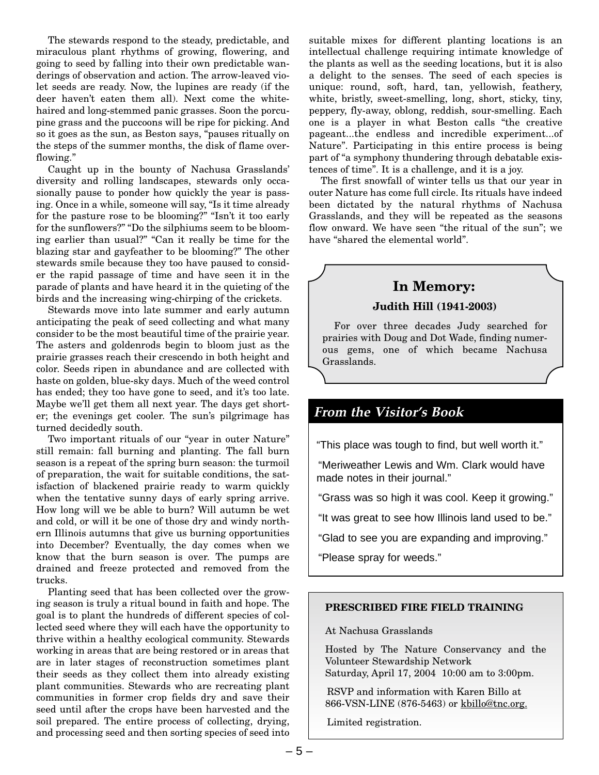The stewards respond to the steady, predictable, and miraculous plant rhythms of growing, flowering, and going to seed by falling into their own predictable wanderings of observation and action. The arrow-leaved violet seeds are ready. Now, the lupines are ready (if the deer haven't eaten them all). Next come the whitehaired and long-stemmed panic grasses. Soon the porcupine grass and the puccoons will be ripe for picking. And so it goes as the sun, as Beston says, "pauses ritually on the steps of the summer months, the disk of flame overflowing."

Caught up in the bounty of Nachusa Grasslands' diversity and rolling landscapes, stewards only occasionally pause to ponder how quickly the year is passing. Once in a while, someone will say, "Is it time already for the pasture rose to be blooming?" "Isn't it too early for the sunflowers?" "Do the silphiums seem to be blooming earlier than usual?" "Can it really be time for the blazing star and gayfeather to be blooming?" The other stewards smile because they too have paused to consider the rapid passage of time and have seen it in the parade of plants and have heard it in the quieting of the birds and the increasing wing-chirping of the crickets.

Stewards move into late summer and early autumn anticipating the peak of seed collecting and what many consider to be the most beautiful time of the prairie year. The asters and goldenrods begin to bloom just as the prairie grasses reach their crescendo in both height and color. Seeds ripen in abundance and are collected with haste on golden, blue-sky days. Much of the weed control has ended; they too have gone to seed, and it's too late. Maybe we'll get them all next year. The days get shorter; the evenings get cooler. The sun's pilgrimage has turned decidedly south.

Two important rituals of our "year in outer Nature" still remain: fall burning and planting. The fall burn season is a repeat of the spring burn season: the turmoil of preparation, the wait for suitable conditions, the satisfaction of blackened prairie ready to warm quickly when the tentative sunny days of early spring arrive. How long will we be able to burn? Will autumn be wet and cold, or will it be one of those dry and windy northern Illinois autumns that give us burning opportunities into December? Eventually, the day comes when we know that the burn season is over. The pumps are drained and freeze protected and removed from the trucks.

Planting seed that has been collected over the growing season is truly a ritual bound in faith and hope. The goal is to plant the hundreds of different species of collected seed where they will each have the opportunity to thrive within a healthy ecological community. Stewards working in areas that are being restored or in areas that are in later stages of reconstruction sometimes plant their seeds as they collect them into already existing plant communities. Stewards who are recreating plant communities in former crop fields dry and save their seed until after the crops have been harvested and the soil prepared. The entire process of collecting, drying, and processing seed and then sorting species of seed into suitable mixes for different planting locations is an intellectual challenge requiring intimate knowledge of the plants as well as the seeding locations, but it is also a delight to the senses. The seed of each species is unique: round, soft, hard, tan, yellowish, feathery, white, bristly, sweet-smelling, long, short, sticky, tiny, peppery, fly-away, oblong, reddish, sour-smelling. Each one is a player in what Beston calls "the creative pageant...the endless and incredible experiment...of Nature". Participating in this entire process is being part of "a symphony thundering through debatable existences of time". It is a challenge, and it is a joy.

The first snowfall of winter tells us that our year in outer Nature has come full circle. Its rituals have indeed been dictated by the natural rhythms of Nachusa Grasslands, and they will be repeated as the seasons flow onward. We have seen "the ritual of the sun"; we have "shared the elemental world".

# **In Memory: Judith Hill (1941-2003)**

For over three decades Judy searched for prairies with Doug and Dot Wade, finding numerous gems, one of which became Nachusa Grasslands.

# **From the Visitor's Book**

"This place was tough to find, but well worth it."

"Meriweather Lewis and Wm. Clark would have made notes in their journal."

"Grass was so high it was cool. Keep it growing."

"It was great to see how Illinois land used to be."

"Glad to see you are expanding and improving."

"Please spray for weeds."

# **PRESCRIBED FIRE FIELD TRAINING**

At Nachusa Grasslands

Hosted by The Nature Conservancy and the Volunteer Stewardship Network Saturday, April 17, 2004 10:00 am to 3:00pm.

RSVP and information with Karen Billo at 866-VSN-LINE (876-5463) or kbillo@tnc.org.

Limited registration.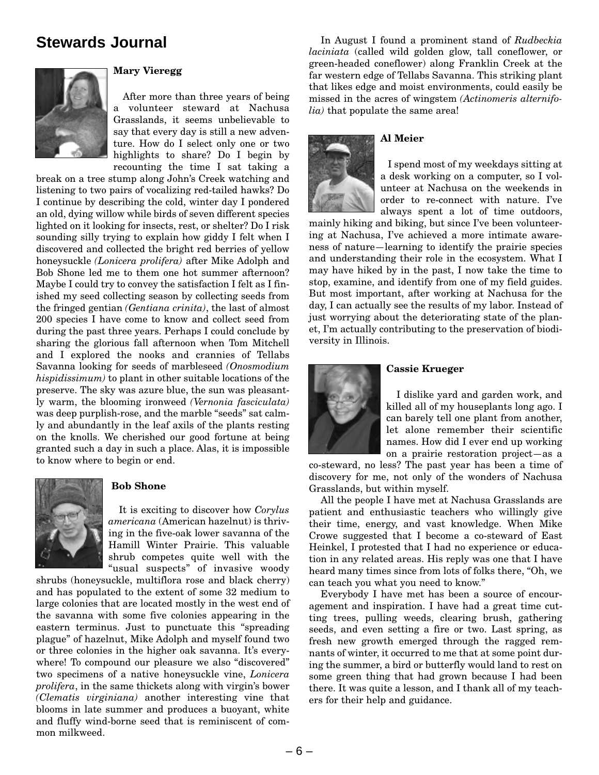# **Stewards Journal**



# **Mary Vieregg**

After more than three years of being a volunteer steward at Nachusa Grasslands, it seems unbelievable to say that every day is still a new adventure. How do I select only one or two highlights to share? Do I begin by recounting the time I sat taking a

break on a tree stump along John's Creek watching and listening to two pairs of vocalizing red-tailed hawks? Do I continue by describing the cold, winter day I pondered an old, dying willow while birds of seven different species lighted on it looking for insects, rest, or shelter? Do I risk sounding silly trying to explain how giddy I felt when I discovered and collected the bright red berries of yellow honeysuckle *(Lonicera prolifera)* after Mike Adolph and Bob Shone led me to them one hot summer afternoon? Maybe I could try to convey the satisfaction I felt as I finished my seed collecting season by collecting seeds from the fringed gentian *(Gentiana crinita)*, the last of almost 200 species I have come to know and collect seed from during the past three years. Perhaps I could conclude by sharing the glorious fall afternoon when Tom Mitchell and I explored the nooks and crannies of Tellabs Savanna looking for seeds of marbleseed *(Onosmodium hispidissimum)* to plant in other suitable locations of the preserve. The sky was azure blue, the sun was pleasantly warm, the blooming ironweed *(Vernonia fasciculata)* was deep purplish-rose, and the marble "seeds" sat calmly and abundantly in the leaf axils of the plants resting on the knolls. We cherished our good fortune at being granted such a day in such a place. Alas, it is impossible to know where to begin or end.



### **Bob Shone**

It is exciting to discover how *Corylus americana* (American hazelnut) is thriving in the five-oak lower savanna of the Hamill Winter Prairie. This valuable shrub competes quite well with the "usual suspects" of invasive woody

shrubs (honeysuckle, multiflora rose and black cherry) and has populated to the extent of some 32 medium to large colonies that are located mostly in the west end of the savanna with some five colonies appearing in the eastern terminus. Just to punctuate this "spreading plague" of hazelnut, Mike Adolph and myself found two or three colonies in the higher oak savanna. It's everywhere! To compound our pleasure we also "discovered" two specimens of a native honeysuckle vine, *Lonicera prolifera*, in the same thickets along with virgin's bower *(Clematis virginiana)* another interesting vine that blooms in late summer and produces a buoyant, white and fluffy wind-borne seed that is reminiscent of common milkweed.

In August I found a prominent stand of *Rudbeckia laciniata* (called wild golden glow, tall coneflower, or green-headed coneflower) along Franklin Creek at the far western edge of Tellabs Savanna. This striking plant that likes edge and moist environments, could easily be missed in the acres of wingstem *(Actinomeris alternifolia)* that populate the same area!



# **Al Meier**

I spend most of my weekdays sitting at a desk working on a computer, so I volunteer at Nachusa on the weekends in order to re-connect with nature. I've always spent a lot of time outdoors,

mainly hiking and biking, but since I've been volunteering at Nachusa, I've achieved a more intimate awareness of nature—learning to identify the prairie species and understanding their role in the ecosystem. What I may have hiked by in the past, I now take the time to stop, examine, and identify from one of my field guides. But most important, after working at Nachusa for the day, I can actually see the results of my labor. Instead of just worrying about the deteriorating state of the planet, I'm actually contributing to the preservation of biodiversity in Illinois.



### **Cassie Krueger**

I dislike yard and garden work, and killed all of my houseplants long ago. I can barely tell one plant from another, let alone remember their scientific names. How did I ever end up working on a prairie restoration project—as a

co-steward, no less? The past year has been a time of discovery for me, not only of the wonders of Nachusa Grasslands, but within myself.

All the people I have met at Nachusa Grasslands are patient and enthusiastic teachers who willingly give their time, energy, and vast knowledge. When Mike Crowe suggested that I become a co-steward of East Heinkel, I protested that I had no experience or education in any related areas. His reply was one that I have heard many times since from lots of folks there, "Oh, we can teach you what you need to know."

Everybody I have met has been a source of encouragement and inspiration. I have had a great time cutting trees, pulling weeds, clearing brush, gathering seeds, and even setting a fire or two. Last spring, as fresh new growth emerged through the ragged remnants of winter, it occurred to me that at some point during the summer, a bird or butterfly would land to rest on some green thing that had grown because I had been there. It was quite a lesson, and I thank all of my teachers for their help and guidance.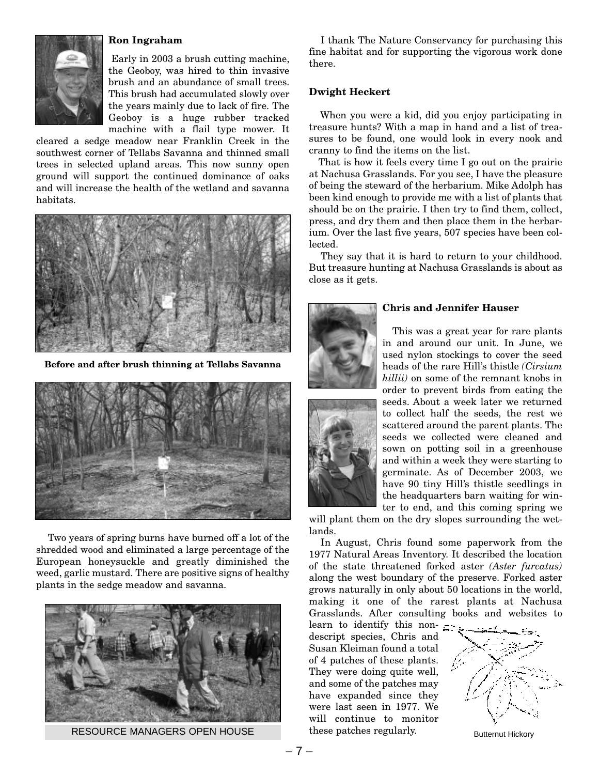

# **Ron Ingraham**

Early in 2003 a brush cutting machine, the Geoboy, was hired to thin invasive brush and an abundance of small trees. This brush had accumulated slowly over the years mainly due to lack of fire. The Geoboy is a huge rubber tracked machine with a flail type mower. It

cleared a sedge meadow near Franklin Creek in the southwest corner of Tellabs Savanna and thinned small trees in selected upland areas. This now sunny open ground will support the continued dominance of oaks and will increase the health of the wetland and savanna habitats.



**Before and after brush thinning at Tellabs Savanna**



Two years of spring burns have burned off a lot of the shredded wood and eliminated a large percentage of the European honeysuckle and greatly diminished the weed, garlic mustard. There are positive signs of healthy plants in the sedge meadow and savanna.



RESOURCE MANAGERS OPEN HOUSE these patches regularly. Butternut Hickory

I thank The Nature Conservancy for purchasing this fine habitat and for supporting the vigorous work done there.

# **Dwight Heckert**

When you were a kid, did you enjoy participating in treasure hunts? With a map in hand and a list of treasures to be found, one would look in every nook and cranny to find the items on the list.

That is how it feels every time I go out on the prairie at Nachusa Grasslands. For you see, I have the pleasure of being the steward of the herbarium. Mike Adolph has been kind enough to provide me with a list of plants that should be on the prairie. I then try to find them, collect, press, and dry them and then place them in the herbarium. Over the last five years, 507 species have been collected.

They say that it is hard to return to your childhood. But treasure hunting at Nachusa Grasslands is about as close as it gets.



## **Chris and Jennifer Hauser**

This was a great year for rare plants in and around our unit. In June, we used nylon stockings to cover the seed heads of the rare Hill's thistle *(Cirsium hillii)* on some of the remnant knobs in order to prevent birds from eating the seeds. About a week later we returned to collect half the seeds, the rest we scattered around the parent plants. The seeds we collected were cleaned and sown on potting soil in a greenhouse and within a week they were starting to germinate. As of December 2003, we have 90 tiny Hill's thistle seedlings in the headquarters barn waiting for winter to end, and this coming spring we

will plant them on the dry slopes surrounding the wetlands.

In August, Chris found some paperwork from the 1977 Natural Areas Inventory. It described the location of the state threatened forked aster *(Aster furcatus)* along the west boundary of the preserve. Forked aster grows naturally in only about 50 locations in the world, making it one of the rarest plants at Nachusa Grasslands. After consulting books and websites to

learn to identify this non- $\pi$ descript species, Chris and Susan Kleiman found a total of 4 patches of these plants. They were doing quite well, and some of the patches may have expanded since they were last seen in 1977. We will continue to monitor

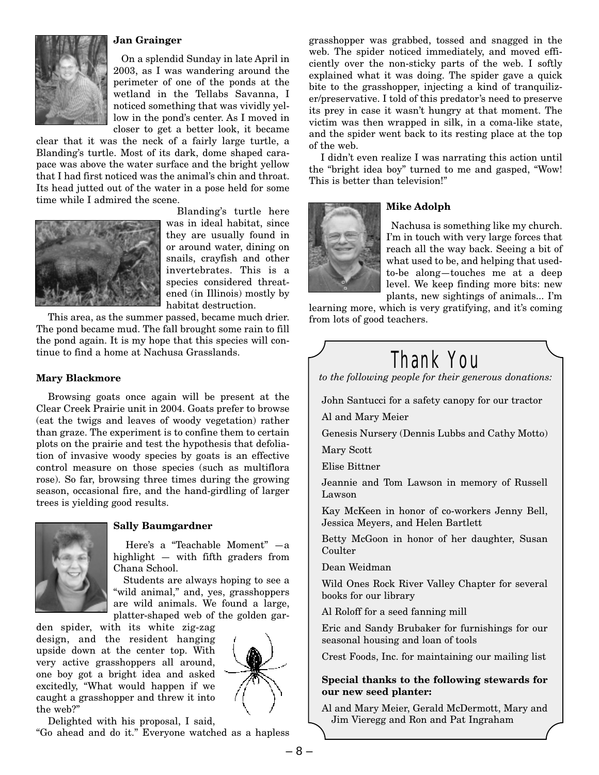

# **Jan Grainger**

On a splendid Sunday in late April in 2003, as I was wandering around the perimeter of one of the ponds at the wetland in the Tellabs Savanna, I noticed something that was vividly yellow in the pond's center. As I moved in closer to get a better look, it became

clear that it was the neck of a fairly large turtle, a Blanding's turtle. Most of its dark, dome shaped carapace was above the water surface and the bright yellow that I had first noticed was the animal's chin and throat. Its head jutted out of the water in a pose held for some time while I admired the scene.



Blanding's turtle here was in ideal habitat, since they are usually found in or around water, dining on snails, crayfish and other invertebrates. This is a species considered threatened (in Illinois) mostly by habitat destruction.

This area, as the summer passed, became much drier. The pond became mud. The fall brought some rain to fill the pond again. It is my hope that this species will continue to find a home at Nachusa Grasslands.

# **Mary Blackmore**

Browsing goats once again will be present at the Clear Creek Prairie unit in 2004. Goats prefer to browse (eat the twigs and leaves of woody vegetation) rather than graze. The experiment is to confine them to certain plots on the prairie and test the hypothesis that defoliation of invasive woody species by goats is an effective control measure on those species (such as multiflora rose). So far, browsing three times during the growing season, occasional fire, and the hand-girdling of larger trees is yielding good results.



# **Sally Baumgardner**

Here's a "Teachable Moment" —a highlight — with fifth graders from Chana School.

Students are always hoping to see a "wild animal," and, yes, grasshoppers are wild animals. We found a large, platter-shaped web of the golden gar-

den spider, with its white zig-zag design, and the resident hanging upside down at the center top. With very active grasshoppers all around, one boy got a bright idea and asked excitedly, "What would happen if we caught a grasshopper and threw it into the web?"



Delighted with his proposal, I said,

"Go ahead and do it." Everyone watched as a hapless

grasshopper was grabbed, tossed and snagged in the web. The spider noticed immediately, and moved efficiently over the non-sticky parts of the web. I softly explained what it was doing. The spider gave a quick bite to the grasshopper, injecting a kind of tranquilizer/preservative. I told of this predator's need to preserve its prey in case it wasn't hungry at that moment. The victim was then wrapped in silk, in a coma-like state, and the spider went back to its resting place at the top of the web.

I didn't even realize I was narrating this action until the "bright idea boy" turned to me and gasped, "Wow! This is better than television!"



# **Mike Adolph**

Nachusa is something like my church. I'm in touch with very large forces that reach all the way back. Seeing a bit of what used to be, and helping that usedto-be along—touches me at a deep level. We keep finding more bits: new plants, new sightings of animals... I'm

learning more, which is very gratifying, and it's coming from lots of good teachers.

# Thank You

*to the following people for their generous donations:*

John Santucci for a safety canopy for our tractor

Al and Mary Meier

Genesis Nursery (Dennis Lubbs and Cathy Motto)

Mary Scott

Elise Bittner

Jeannie and Tom Lawson in memory of Russell Lawson

Kay McKeen in honor of co-workers Jenny Bell, Jessica Meyers, and Helen Bartlett

Betty McGoon in honor of her daughter, Susan Coulter

Dean Weidman

Wild Ones Rock River Valley Chapter for several books for our library

Al Roloff for a seed fanning mill

Eric and Sandy Brubaker for furnishings for our seasonal housing and loan of tools

Crest Foods, Inc. for maintaining our mailing list

# **Special thanks to the following stewards for our new seed planter:**

Al and Mary Meier, Gerald McDermott, Mary and Jim Vieregg and Ron and Pat Ingraham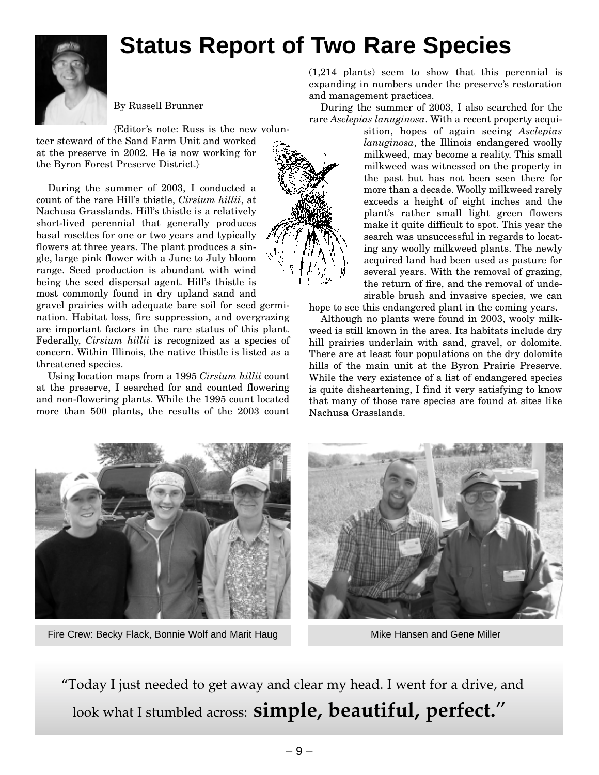# **Status Report of Two Rare Species**



By Russell Brunner

{Editor's note: Russ is the new volun-

teer steward of the Sand Farm Unit and worked at the preserve in 2002. He is now working for the Byron Forest Preserve District.}

During the summer of 2003, I conducted a count of the rare Hill's thistle, *Cirsium hillii*, at Nachusa Grasslands. Hill's thistle is a relatively short-lived perennial that generally produces basal rosettes for one or two years and typically flowers at three years. The plant produces a single, large pink flower with a June to July bloom range. Seed production is abundant with wind being the seed dispersal agent. Hill's thistle is most commonly found in dry upland sand and

gravel prairies with adequate bare soil for seed germination. Habitat loss, fire suppression, and overgrazing are important factors in the rare status of this plant. Federally, *Cirsium hillii* is recognized as a species of concern. Within Illinois, the native thistle is listed as a threatened species.

Using location maps from a 1995 *Cirsium hillii* count at the preserve, I searched for and counted flowering and non-flowering plants. While the 1995 count located more than 500 plants, the results of the 2003 count



(1,214 plants) seem to show that this perennial is expanding in numbers under the preserve's restoration and management practices.

During the summer of 2003, I also searched for the rare *Asclepias lanuginosa*. With a recent property acqui-

sition, hopes of again seeing *Asclepias lanuginosa*, the Illinois endangered woolly milkweed, may become a reality. This small milkweed was witnessed on the property in the past but has not been seen there for more than a decade. Woolly milkweed rarely exceeds a height of eight inches and the plant's rather small light green flowers make it quite difficult to spot. This year the search was unsuccessful in regards to locating any woolly milkweed plants. The newly acquired land had been used as pasture for several years. With the removal of grazing, the return of fire, and the removal of undesirable brush and invasive species, we can

hope to see this endangered plant in the coming years.

Although no plants were found in 2003, wooly milkweed is still known in the area. Its habitats include dry hill prairies underlain with sand, gravel, or dolomite. There are at least four populations on the dry dolomite hills of the main unit at the Byron Prairie Preserve. While the very existence of a list of endangered species is quite disheartening, I find it very satisfying to know that many of those rare species are found at sites like Nachusa Grasslands.



Fire Crew: Becky Flack, Bonnie Wolf and Marit Haug Mike Hansen and Gene Miller



"Today I just needed to get away and clear my head. I went for a drive, and look what I stumbled across: **simple, beautiful, perfect.**"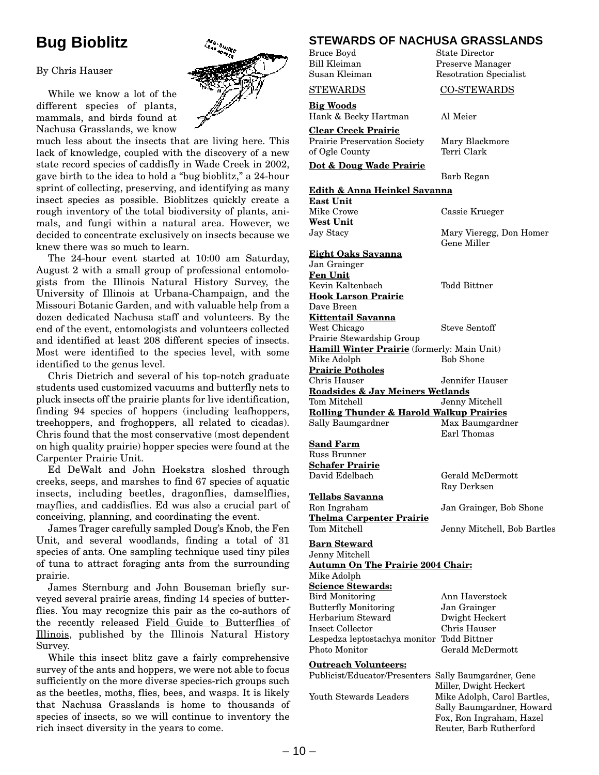# **Bug Bioblitz**

# By Chris Hauser

While we know a lot of the different species of plants, mammals, and birds found at Nachusa Grasslands, we know

much less about the insects that are living here. This lack of knowledge, coupled with the discovery of a new state record species of caddisfly in Wade Creek in 2002, gave birth to the idea to hold a "bug bioblitz," a 24-hour sprint of collecting, preserving, and identifying as many insect species as possible. Bioblitzes quickly create a rough inventory of the total biodiversity of plants, animals, and fungi within a natural area. However, we decided to concentrate exclusively on insects because we knew there was so much to learn.

The 24-hour event started at 10:00 am Saturday, August 2 with a small group of professional entomologists from the Illinois Natural History Survey, the University of Illinois at Urbana-Champaign, and the Missouri Botanic Garden, and with valuable help from a dozen dedicated Nachusa staff and volunteers. By the end of the event, entomologists and volunteers collected and identified at least 208 different species of insects. Most were identified to the species level, with some identified to the genus level.

Chris Dietrich and several of his top-notch graduate students used customized vacuums and butterfly nets to pluck insects off the prairie plants for live identification, finding 94 species of hoppers (including leafhoppers, treehoppers, and froghoppers, all related to cicadas). Chris found that the most conservative (most dependent on high quality prairie) hopper species were found at the Carpenter Prairie Unit.

Ed DeWalt and John Hoekstra sloshed through creeks, seeps, and marshes to find 67 species of aquatic insects, including beetles, dragonflies, damselflies, mayflies, and caddisflies. Ed was also a crucial part of conceiving, planning, and coordinating the event.

James Trager carefully sampled Doug's Knob, the Fen Unit, and several woodlands, finding a total of 31 species of ants. One sampling technique used tiny piles of tuna to attract foraging ants from the surrounding prairie.

James Sternburg and John Bouseman briefly surveyed several prairie areas, finding 14 species of butterflies. You may recognize this pair as the co-authors of the recently released Field Guide to Butterflies of Illinois, published by the Illinois Natural History Survey.

While this insect blitz gave a fairly comprehensive survey of the ants and hoppers, we were not able to focus sufficiently on the more diverse species-rich groups such as the beetles, moths, flies, bees, and wasps. It is likely that Nachusa Grasslands is home to thousands of species of insects, so we will continue to inventory the rich insect diversity in the years to come.

# **STEWARDS OF NACHUSA GRASSLANDS**

Preserve Manager

Bruce Boyd State Director Susan Kleiman Resotration Specialist

# STEWARDS CO-STEWARDS

**Big Woods** Hank & Becky Hartman Al Meier

**Clear Creek Prairie** Prairie Preservation Society Mary Blackmore of Ogle County Terri Clark

# **Dot & Doug Wade Prairie**

Barb Regan **Edith & Anna Heinkel Savanna**

**East Unit** Mike Crowe Cassie Krueger **West Unit** Jay Stacy Mary Vieregg, Don Homer Gene Miller **Eight Oaks Savanna** Jan Grainger **Fen Unit** Kevin Kaltenbach Todd Bittner **Hook Larson Prairie** Dave Breen **Kittentail Savanna** West Chicago Steve Sentoff Prairie Stewardship Group **Hamill Winter Prairie** (formerly: Main Unit) Mike Adolph Bob Shone **Prairie Potholes** Chris Hauser Jennifer Hauser **Roadsides & Jay Meiners Wetlands** Tom Mitchell Jenny Mitchell **Rolling Thunder & Harold Walkup Prairies** Sally Baumgardner Max Baumgardner Earl Thomas **Sand Farm** Russ Brunner **Schafer Prairie** David Edelbach Gerald McDermott Ray Derksen **Tellabs Savanna** Ron Ingraham Jan Grainger, Bob Shone **Thelma Carpenter Prairie** Tom Mitchell Jenny Mitchell, Bob Bartles **Barn Steward** Jenny Mitchell **Autumn On The Prairie 2004 Chair:** Mike Adolph **Science Stewards:** Bird Monitoring Ann Haverstock Butterfly Monitoring Jan Grainger Herbarium Steward Dwight Heckert Insect Collector Chris Hauser

Lespedza leptostachya monitor Todd Bittner Photo Monitor Gerald McDermott

# **Outreach Volunteers:** Publicist/Educator/Presenters Sally Baumgardner, Gene Miller, Dwight Heckert Youth Stewards Leaders Mike Adolph, Carol Bartles, Sally Baumgardner, Howard Fox, Ron Ingraham, Hazel Reuter, Barb Rutherford

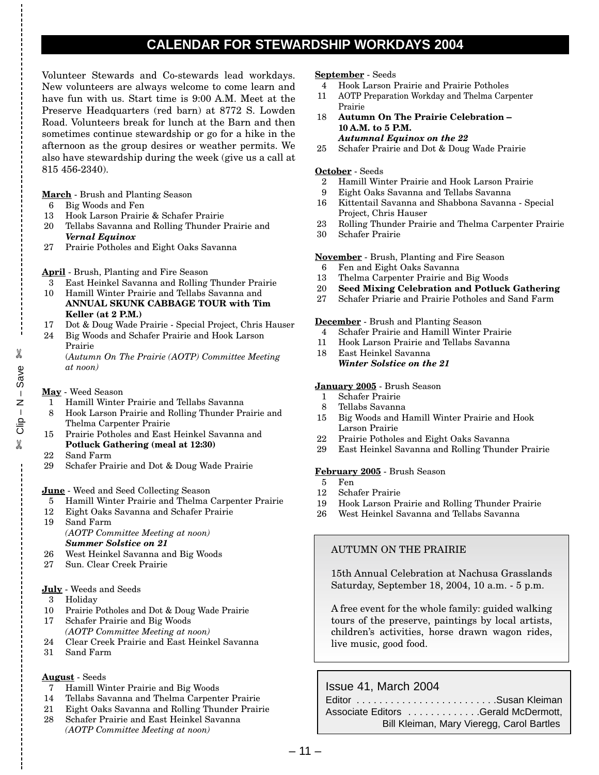# **CALENDAR FOR STEWARDSHIP WORKDAYS 2004**

Volunteer Stewards and Co-stewards lead workdays. New volunteers are always welcome to come learn and have fun with us. Start time is 9:00 A.M. Meet at the Preserve Headquarters (red barn) at 8772 S. Lowden Road. Volunteers break for lunch at the Barn and then sometimes continue stewardship or go for a hike in the afternoon as the group desires or weather permits. We also have stewardship during the week (give us a call at 815 456-2340).

### **March** - Brush and Planting Season

- 6 Big Woods and Fen
- 13 Hook Larson Prairie & Schafer Prairie
- 20 Tellabs Savanna and Rolling Thunder Prairie and *Vernal Equinox*
- 27 Prairie Potholes and Eight Oaks Savanna

### **April** - Brush, Planting and Fire Season

- 3 East Heinkel Savanna and Rolling Thunder Prairie
- 10 Hamill Winter Prairie and Tellabs Savanna and **ANNUAL SKUNK CABBAGE TOUR with Tim Keller (at 2 P.M.)**
- 17 Dot & Doug Wade Prairie Special Project, Chris Hauser
- 24 Big Woods and Schafer Prairie and Hook Larson Prairie

(*Autumn On The Prairie (AOTP) Committee Meeting at noon)*

- **May** Weed Season
- 1 Hamill Winter Prairie and Tellabs Savanna
- 8 Hook Larson Prairie and Rolling Thunder Prairie and Thelma Carpenter Prairie
- 15 Prairie Potholes and East Heinkel Savanna and **Potluck Gathering (meal at 12:30)**
- 22 Sand Farm
- 29 Schafer Prairie and Dot & Doug Wade Prairie

# **June** - Weed and Seed Collecting Season

- 5 Hamill Winter Prairie and Thelma Carpenter Prairie
- 12 Eight Oaks Savanna and Schafer Prairie
- 19 Sand Farm *(AOTP Committee Meeting at noon) Summer Solstice on 21*
- 26 West Heinkel Savanna and Big Woods
- 27 Sun. Clear Creek Prairie

# **July** - Weeds and Seeds

- 3 Holiday
- 10 Prairie Potholes and Dot & Doug Wade Prairie
- 17 Schafer Prairie and Big Woods *(AOTP Committee Meeting at noon)*
- 24 Clear Creek Prairie and East Heinkel Savanna
- 31 Sand Farm

# **August** - Seeds

- 7 Hamill Winter Prairie and Big Woods
- 14 Tellabs Savanna and Thelma Carpenter Prairie
- 21 Eight Oaks Savanna and Rolling Thunder Prairie
- 28 Schafer Prairie and East Heinkel Savanna *(AOTP Committee Meeting at noon)*

**September** - Seeds

- 4 Hook Larson Prairie and Prairie Potholes
- 11 AOTP Preparation Workday and Thelma Carpenter Prairie
- 18 **Autumn On The Prairie Celebration – 10 A.M. to 5 P.M.** *Autumnal Equinox on the 22*
- 25 Schafer Prairie and Dot & Doug Wade Prairie

# **October** - Seeds

- 2 Hamill Winter Prairie and Hook Larson Prairie
- 9 Eight Oaks Savanna and Tellabs Savanna
- 16 Kittentail Savanna and Shabbona Savanna Special Project, Chris Hauser
- 23 Rolling Thunder Prairie and Thelma Carpenter Prairie
- 30 Schafer Prairie

# **November** - Brush, Planting and Fire Season

- 6 Fen and Eight Oaks Savanna
- 13 Thelma Carpenter Prairie and Big Woods
- 20 **Seed Mixing Celebration and Potluck Gathering**
- 27 Schafer Priarie and Prairie Potholes and Sand Farm

# **December** - Brush and Planting Season

- 4 Schafer Prairie and Hamill Winter Prairie
- 11 Hook Larson Prairie and Tellabs Savanna
- 18 East Heinkel Savanna *Winter Solstice on the 21*

# **January 2005** - Brush Season

- 1 Schafer Prairie
- 8 Tellabs Savanna
- 15 Big Woods and Hamill Winter Prairie and Hook Larson Prairie
- 22 Prairie Potholes and Eight Oaks Savanna
- 29 East Heinkel Savanna and Rolling Thunder Prairie

# **February 2005** - Brush Season

- 5 Fen
- 12 Schafer Prairie
- 19 Hook Larson Prairie and Rolling Thunder Prairie
- 26 West Heinkel Savanna and Tellabs Savanna

# AUTUMN ON THE PRAIRIE

15th Annual Celebration at Nachusa Grasslands Saturday, September 18, 2004, 10 a.m. - 5 p.m.

A free event for the whole family: guided walking tours of the preserve, paintings by local artists, children's activities, horse drawn wagon rides, live music, good food.

# Issue 41, March 2004

| Editor Susan Kleiman                      |
|-------------------------------------------|
| Associate Editors Gerald McDermott,       |
| Bill Kleiman, Mary Vieregg, Carol Bartles |

# $\approx$  Clip – N – Save e<br>
N = N − d!iO<br>
X  $% \mathcal{W} \rightarrow \mathcal{W} \rightarrow \mathcal{W} \rightarrow \mathcal{W} \rightarrow \mathcal{W} \rightarrow \mathcal{W} \rightarrow \mathcal{W} \rightarrow \mathcal{W} \rightarrow \mathcal{W} \rightarrow \mathcal{W} \rightarrow \mathcal{W} \rightarrow \mathcal{W} \rightarrow \mathcal{W} \rightarrow \mathcal{W} \rightarrow \mathcal{W} \rightarrow \mathcal{W} \rightarrow \mathcal{W} \rightarrow \mathcal{W} \rightarrow \mathcal{W} \rightarrow \mathcal{W} \rightarrow \mathcal{W} \rightarrow \mathcal{W} \rightarrow \mathcal{W} \rightarrow \mathcal{W} \rightarrow \mathcal{W} \rightarrow \mathcal{W} \rightarrow \mathcal{W} \rightarrow \mathcal$